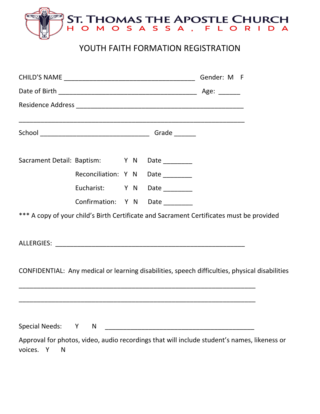

#### YOUTH FAITH FORMATION REGISTRATION

|                                              |        |  | Gender: M F                      |                                                                                                                                                               |  |
|----------------------------------------------|--------|--|----------------------------------|---------------------------------------------------------------------------------------------------------------------------------------------------------------|--|
|                                              |        |  |                                  |                                                                                                                                                               |  |
|                                              |        |  |                                  |                                                                                                                                                               |  |
|                                              |        |  |                                  |                                                                                                                                                               |  |
| Sacrament Detail: Baptism: Y N Date ________ |        |  |                                  |                                                                                                                                                               |  |
|                                              |        |  | Reconciliation: Y N Date _______ |                                                                                                                                                               |  |
|                                              |        |  | Eucharist: Y N Date              |                                                                                                                                                               |  |
|                                              |        |  | Confirmation: Y N Date ________  |                                                                                                                                                               |  |
|                                              |        |  |                                  | *** A copy of your child's Birth Certificate and Sacrament Certificates must be provided                                                                      |  |
|                                              |        |  |                                  |                                                                                                                                                               |  |
|                                              |        |  |                                  | CONFIDENTIAL: Any medical or learning disabilities, speech difficulties, physical disabilities<br><u> 1989 - Johann Stoff, amerikansk politiker (d. 1989)</u> |  |
|                                              |        |  |                                  |                                                                                                                                                               |  |
| <b>Special Needs:</b>                        | Y<br>N |  |                                  | Approval for photos, video, audio recordings that will include student's names, likeness or                                                                   |  |
| voices.<br>Y<br>N                            |        |  |                                  |                                                                                                                                                               |  |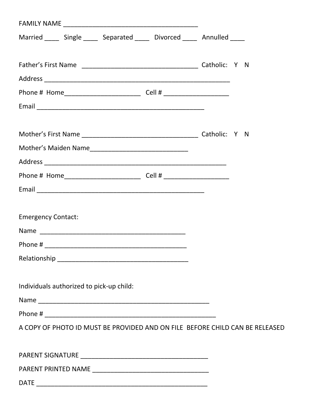| Married _____ Single _____ Separated _____ Divorced _____ Annulled _____     |  |  |
|------------------------------------------------------------------------------|--|--|
|                                                                              |  |  |
|                                                                              |  |  |
|                                                                              |  |  |
|                                                                              |  |  |
|                                                                              |  |  |
|                                                                              |  |  |
|                                                                              |  |  |
|                                                                              |  |  |
|                                                                              |  |  |
|                                                                              |  |  |
|                                                                              |  |  |
| <b>Emergency Contact:</b>                                                    |  |  |
|                                                                              |  |  |
|                                                                              |  |  |
|                                                                              |  |  |
|                                                                              |  |  |
| Individuals authorized to pick-up child:                                     |  |  |
|                                                                              |  |  |
|                                                                              |  |  |
| A COPY OF PHOTO ID MUST BE PROVIDED AND ON FILE BEFORE CHILD CAN BE RELEASED |  |  |
|                                                                              |  |  |
|                                                                              |  |  |
|                                                                              |  |  |
|                                                                              |  |  |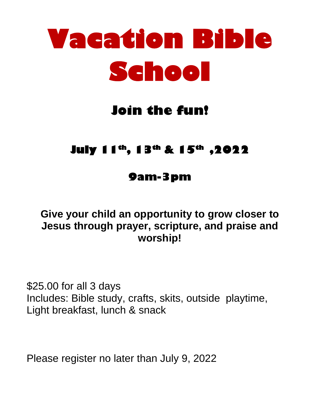

# **Join the fun!**

## **July 11th , 13th & 15th ,2022**

### **9am-3pm**

### **Give your child an opportunity to grow closer to Jesus through prayer, scripture, and praise and worship!**

\$25.00 for all 3 days Includes: Bible study, crafts, skits, outside playtime, Light breakfast, lunch & snack

Please register no later than July 9, 2022